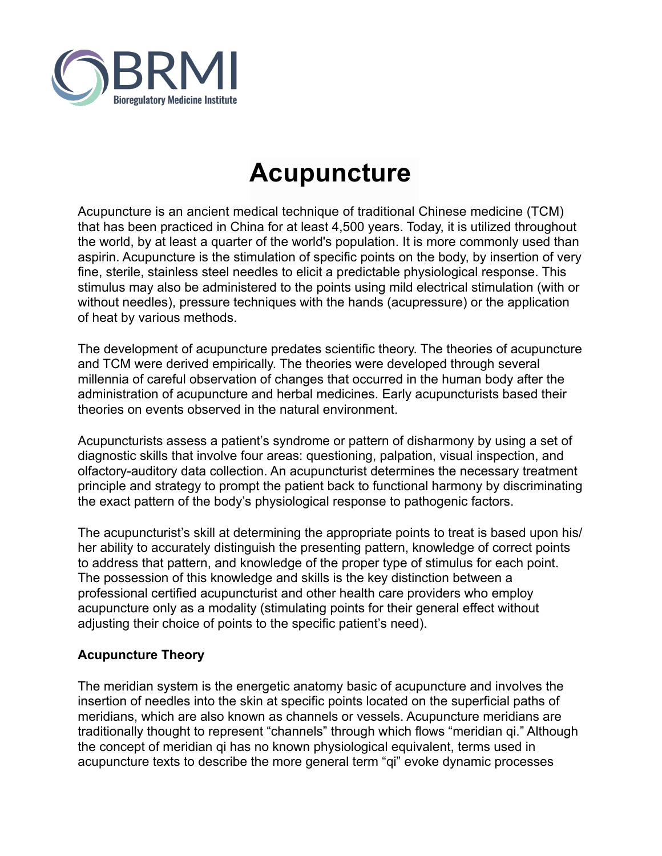

# **Acupuncture**

Acupuncture is an ancient medical technique of traditional Chinese medicine (TCM) that has been practiced in China for at least 4,500 years. Today, it is utilized throughout the world, by at least a quarter of the world's population. It is more commonly used than aspirin. Acupuncture is the stimulation of specific points on the body, by insertion of very fine, sterile, stainless steel needles to elicit a predictable physiological response. This stimulus may also be administered to the points using mild electrical stimulation (with or without needles), pressure techniques with the hands (acupressure) or the application of heat by various methods.

The development of acupuncture predates scientific theory. The theories of acupuncture and TCM were derived empirically. The theories were developed through several millennia of careful observation of changes that occurred in the human body after the administration of acupuncture and herbal medicines. Early acupuncturists based their theories on events observed in the natural environment.

Acupuncturists assess a patient's syndrome or pattern of disharmony by using a set of diagnostic skills that involve four areas: questioning, palpation, visual inspection, and olfactory-auditory data collection. An acupuncturist determines the necessary treatment principle and strategy to prompt the patient back to functional harmony by discriminating the exact pattern of the body's physiological response to pathogenic factors.

The acupuncturist's skill at determining the appropriate points to treat is based upon his/ her ability to accurately distinguish the presenting pattern, knowledge of correct points to address that pattern, and knowledge of the proper type of stimulus for each point. The possession of this knowledge and skills is the key distinction between a professional certified acupuncturist and other health care providers who employ acupuncture only as a modality (stimulating points for their general effect without adjusting their choice of points to the specific patient's need).

#### **Acupuncture Theory**

The meridian system is the energetic anatomy basic of acupuncture and involves the insertion of needles into the skin at specific points located on the superficial paths of meridians, which are also known as channels or vessels. Acupuncture meridians are traditionally thought to represent "channels" through which flows "meridian qi." Although the concept of meridian qi has no known physiological equivalent, terms used in acupuncture texts to describe the more general term "qi" evoke dynamic processes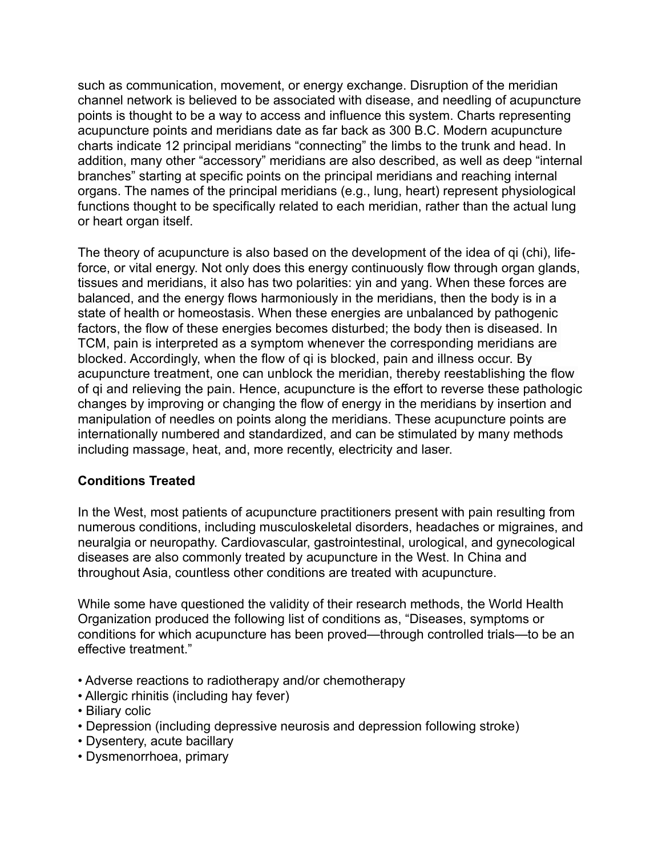such as communication, movement, or energy exchange. Disruption of the meridian channel network is believed to be associated with disease, and needling of acupuncture points is thought to be a way to access and influence this system. Charts representing acupuncture points and meridians date as far back as 300 B.C. Modern acupuncture charts indicate 12 principal meridians "connecting" the limbs to the trunk and head. In addition, many other "accessory" meridians are also described, as well as deep "internal branches" starting at specific points on the principal meridians and reaching internal organs. The names of the principal meridians (e.g., lung, heart) represent physiological functions thought to be specifically related to each meridian, rather than the actual lung or heart organ itself.

The theory of acupuncture is also based on the development of the idea of qi (chi), lifeforce, or vital energy. Not only does this energy continuously flow through organ glands, tissues and meridians, it also has two polarities: yin and yang. When these forces are balanced, and the energy flows harmoniously in the meridians, then the body is in a state of health or homeostasis. When these energies are unbalanced by pathogenic factors, the flow of these energies becomes disturbed; the body then is diseased. In TCM, pain is interpreted as a symptom whenever the corresponding meridians are blocked. Accordingly, when the flow of qi is blocked, pain and illness occur. By acupuncture treatment, one can unblock the meridian, thereby reestablishing the flow of qi and relieving the pain. Hence, acupuncture is the effort to reverse these pathologic changes by improving or changing the flow of energy in the meridians by insertion and manipulation of needles on points along the meridians. These acupuncture points are internationally numbered and standardized, and can be stimulated by many methods including massage, heat, and, more recently, electricity and laser.

#### **Conditions Treated**

In the West, most patients of acupuncture practitioners present with pain resulting from numerous conditions, including musculoskeletal disorders, headaches or migraines, and neuralgia or neuropathy. Cardiovascular, gastrointestinal, urological, and gynecological diseases are also commonly treated by acupuncture in the West. In China and throughout Asia, countless other conditions are treated with acupuncture.

While some have questioned the validity of their research methods, the World Health Organization produced the following list of conditions as, "Diseases, symptoms or conditions for which acupuncture has been proved—through controlled trials—to be an effective treatment."

- Adverse reactions to radiotherapy and/or chemotherapy
- Allergic rhinitis (including hay fever)
- Biliary colic
- Depression (including depressive neurosis and depression following stroke)
- Dysentery, acute bacillary
- Dysmenorrhoea, primary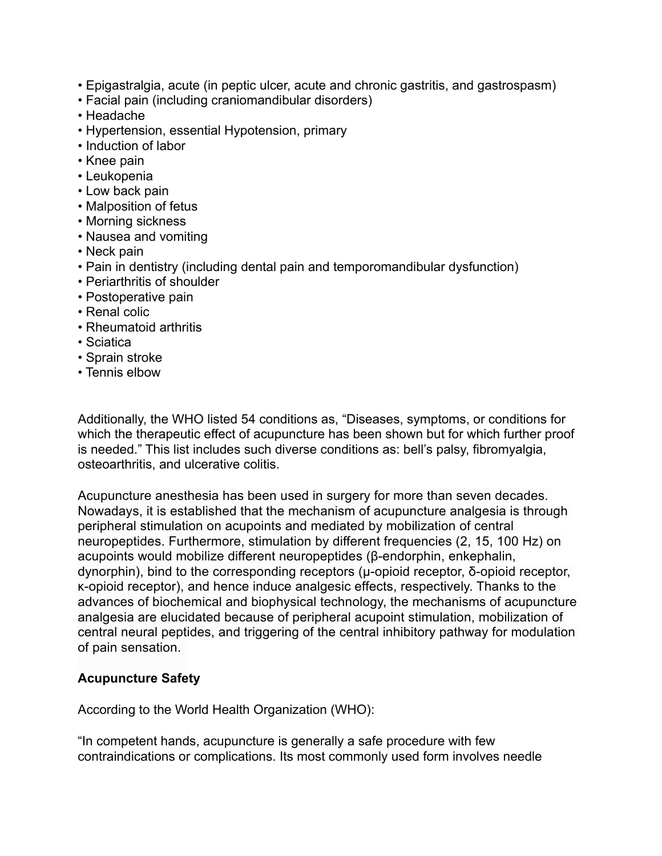- Epigastralgia, acute (in peptic ulcer, acute and chronic gastritis, and gastrospasm)
- Facial pain (including craniomandibular disorders)
- Headache
- Hypertension, essential Hypotension, primary
- Induction of labor
- Knee pain
- Leukopenia
- Low back pain
- Malposition of fetus
- Morning sickness
- Nausea and vomiting
- Neck pain
- Pain in dentistry (including dental pain and temporomandibular dysfunction)
- Periarthritis of shoulder
- Postoperative pain
- Renal colic
- Rheumatoid arthritis
- Sciatica
- Sprain stroke
- Tennis elbow

Additionally, the WHO listed 54 conditions as, "Diseases, symptoms, or conditions for which the therapeutic effect of acupuncture has been shown but for which further proof is needed." This list includes such diverse conditions as: bell's palsy, fibromyalgia, osteoarthritis, and ulcerative colitis.

Acupuncture anesthesia has been used in surgery for more than seven decades. Nowadays, it is established that the mechanism of acupuncture analgesia is through peripheral stimulation on acupoints and mediated by mobilization of central neuropeptides. Furthermore, stimulation by different frequencies (2, 15, 100 Hz) on acupoints would mobilize different neuropeptides (β-endorphin, enkephalin, dynorphin), bind to the corresponding receptors (µ-opioid receptor, δ-opioid receptor, κ-opioid receptor), and hence induce analgesic effects, respectively. Thanks to the advances of biochemical and biophysical technology, the mechanisms of acupuncture analgesia are elucidated because of peripheral acupoint stimulation, mobilization of central neural peptides, and triggering of the central inhibitory pathway for modulation of pain sensation.

#### **Acupuncture Safety**

According to the World Health Organization (WHO):

"In competent hands, acupuncture is generally a safe procedure with few contraindications or complications. Its most commonly used form involves needle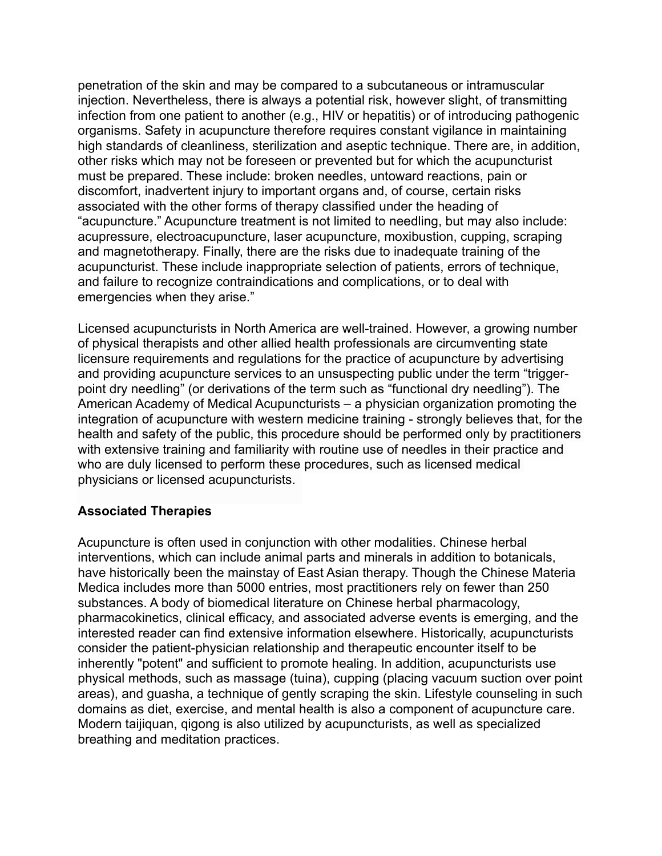penetration of the skin and may be compared to a subcutaneous or intramuscular injection. Nevertheless, there is always a potential risk, however slight, of transmitting infection from one patient to another (e.g., HIV or hepatitis) or of introducing pathogenic organisms. Safety in acupuncture therefore requires constant vigilance in maintaining high standards of cleanliness, sterilization and aseptic technique. There are, in addition, other risks which may not be foreseen or prevented but for which the acupuncturist must be prepared. These include: broken needles, untoward reactions, pain or discomfort, inadvertent injury to important organs and, of course, certain risks associated with the other forms of therapy classified under the heading of "acupuncture." Acupuncture treatment is not limited to needling, but may also include: acupressure, electroacupuncture, laser acupuncture, moxibustion, cupping, scraping and magnetotherapy. Finally, there are the risks due to inadequate training of the acupuncturist. These include inappropriate selection of patients, errors of technique, and failure to recognize contraindications and complications, or to deal with emergencies when they arise."

Licensed acupuncturists in North America are well-trained. However, a growing number of physical therapists and other allied health professionals are circumventing state licensure requirements and regulations for the practice of acupuncture by advertising and providing acupuncture services to an unsuspecting public under the term "triggerpoint dry needling" (or derivations of the term such as "functional dry needling"). The American Academy of Medical Acupuncturists – a physician organization promoting the integration of acupuncture with western medicine training - strongly believes that, for the health and safety of the public, this procedure should be performed only by practitioners with extensive training and familiarity with routine use of needles in their practice and who are duly licensed to perform these procedures, such as licensed medical physicians or licensed acupuncturists.

#### **Associated Therapies**

Acupuncture is often used in conjunction with other modalities. Chinese herbal interventions, which can include animal parts and minerals in addition to botanicals, have historically been the mainstay of East Asian therapy. Though the Chinese Materia Medica includes more than 5000 entries, most practitioners rely on fewer than 250 substances. A body of biomedical literature on Chinese herbal pharmacology, pharmacokinetics, clinical efficacy, and associated adverse events is emerging, and the interested reader can find extensive information elsewhere. Historically, acupuncturists consider the patient-physician relationship and therapeutic encounter itself to be inherently "potent" and sufficient to promote healing. In addition, acupuncturists use physical methods, such as massage (tuina), cupping (placing vacuum suction over point areas), and guasha, a technique of gently scraping the skin. Lifestyle counseling in such domains as diet, exercise, and mental health is also a component of acupuncture care. Modern taijiquan, qigong is also utilized by acupuncturists, as well as specialized breathing and meditation practices.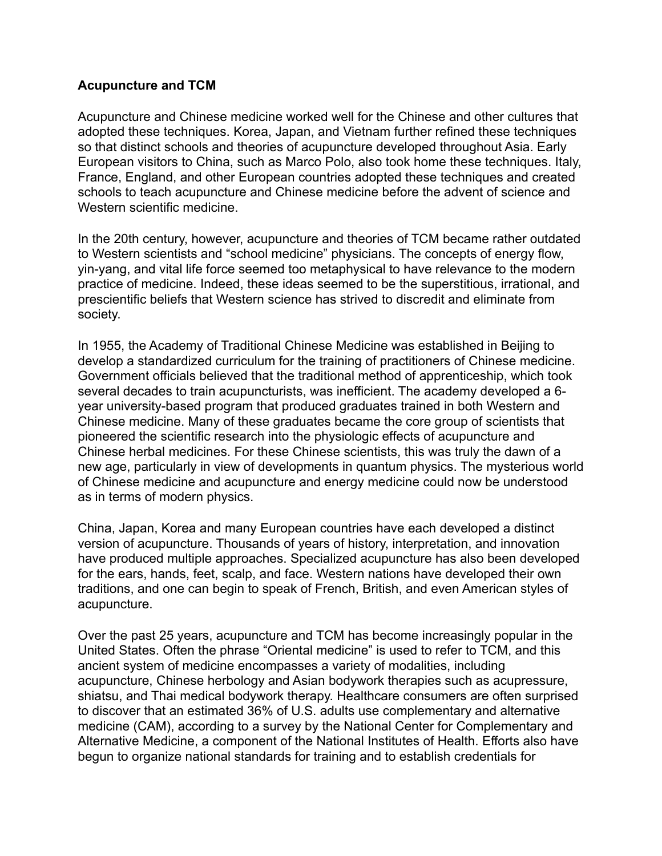#### **Acupuncture and TCM**

Acupuncture and Chinese medicine worked well for the Chinese and other cultures that adopted these techniques. Korea, Japan, and Vietnam further refined these techniques so that distinct schools and theories of acupuncture developed throughout Asia. Early European visitors to China, such as Marco Polo, also took home these techniques. Italy, France, England, and other European countries adopted these techniques and created schools to teach acupuncture and Chinese medicine before the advent of science and Western scientific medicine.

In the 20th century, however, acupuncture and theories of TCM became rather outdated to Western scientists and "school medicine" physicians. The concepts of energy flow, yin-yang, and vital life force seemed too metaphysical to have relevance to the modern practice of medicine. Indeed, these ideas seemed to be the superstitious, irrational, and prescientific beliefs that Western science has strived to discredit and eliminate from society.

In 1955, the Academy of Traditional Chinese Medicine was established in Beijing to develop a standardized curriculum for the training of practitioners of Chinese medicine. Government officials believed that the traditional method of apprenticeship, which took several decades to train acupuncturists, was inefficient. The academy developed a 6 year university-based program that produced graduates trained in both Western and Chinese medicine. Many of these graduates became the core group of scientists that pioneered the scientific research into the physiologic effects of acupuncture and Chinese herbal medicines. For these Chinese scientists, this was truly the dawn of a new age, particularly in view of developments in quantum physics. The mysterious world of Chinese medicine and acupuncture and energy medicine could now be understood as in terms of modern physics.

China, Japan, Korea and many European countries have each developed a distinct version of acupuncture. Thousands of years of history, interpretation, and innovation have produced multiple approaches. Specialized acupuncture has also been developed for the ears, hands, feet, scalp, and face. Western nations have developed their own traditions, and one can begin to speak of French, British, and even American styles of acupuncture.

Over the past 25 years, acupuncture and TCM has become increasingly popular in the United States. Often the phrase "Oriental medicine" is used to refer to TCM, and this ancient system of medicine encompasses a variety of modalities, including acupuncture, Chinese herbology and Asian bodywork therapies such as acupressure, shiatsu, and Thai medical bodywork therapy. Healthcare consumers are often surprised to discover that an estimated 36% of U.S. adults use complementary and alternative medicine (CAM), according to a survey by the National Center for Complementary and Alternative Medicine, a component of the National Institutes of Health. Efforts also have begun to organize national standards for training and to establish credentials for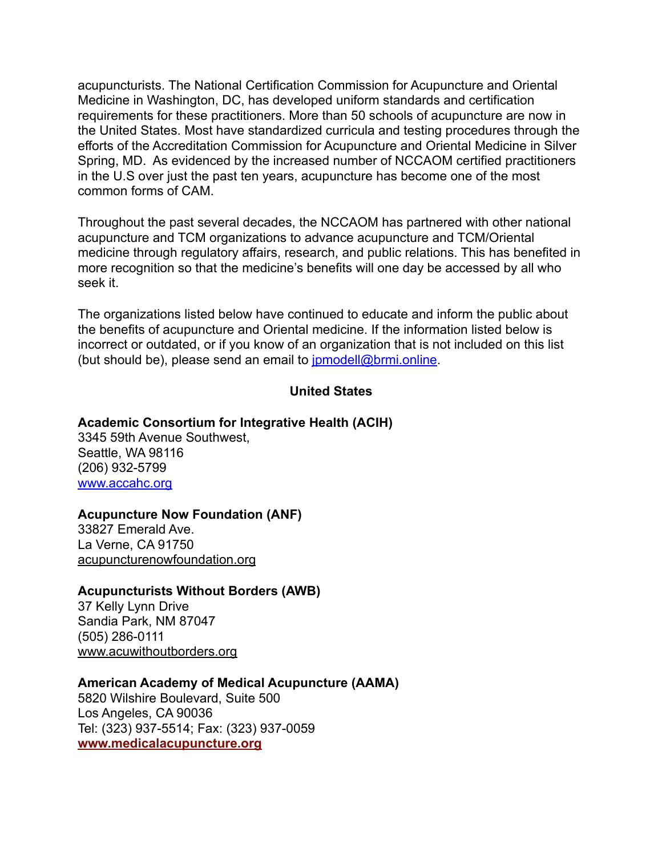acupuncturists. The National Certification Commission for Acupuncture and Oriental Medicine in Washington, DC, has developed uniform standards and certification requirements for these practitioners. More than 50 schools of acupuncture are now in the United States. Most have standardized curricula and testing procedures through the efforts of the Accreditation Commission for Acupuncture and Oriental Medicine in Silver Spring, MD. As evidenced by the increased number of NCCAOM certified practitioners in the U.S over just the past ten years, acupuncture has become one of the most common forms of CAM.

Throughout the past several decades, the NCCAOM has partnered with other national acupuncture and TCM organizations to advance acupuncture and TCM/Oriental medicine through regulatory affairs, research, and public relations. This has benefited in more recognition so that the medicine's benefits will one day be accessed by all who seek it.

The organizations listed below have continued to educate and inform the public about the benefits of acupuncture and Oriental medicine. If the information listed below is incorrect or outdated, or if you know of an organization that is not included on this list (but should be), please send an email to [jpmodell@brmi.online](mailto:jpmodell@brmi.online).

#### **United States**

#### **Academic Consortium for Integrative Health (ACIH)**

3345 59th Avenue Southwest, Seattle, WA 98116 (206) 932-5799 [www.accahc.org](http://www.accahc.org)

#### **Acupuncture Now Foundation (ANF)**

33827 Emerald Ave. La Verne, CA 91750 [acupuncturenowfoundation.org](https://acupuncturenowfoundation.org/)

#### **Acupuncturists Without Borders (AWB)**

37 Kelly Lynn Drive Sandia Park, NM 87047 (505) 286-0111 [www.acuwithoutborders.org](http://www.acuwithoutborders.org/)

#### **American Academy of Medical Acupuncture (AAMA)**

5820 Wilshire Boulevard, Suite 500 Los Angeles, CA 90036 Tel: (323) 937-5514; Fax: (323) 937-0059 **[www.medicalacupuncture.org](http://www.medicalacupuncture.org/)**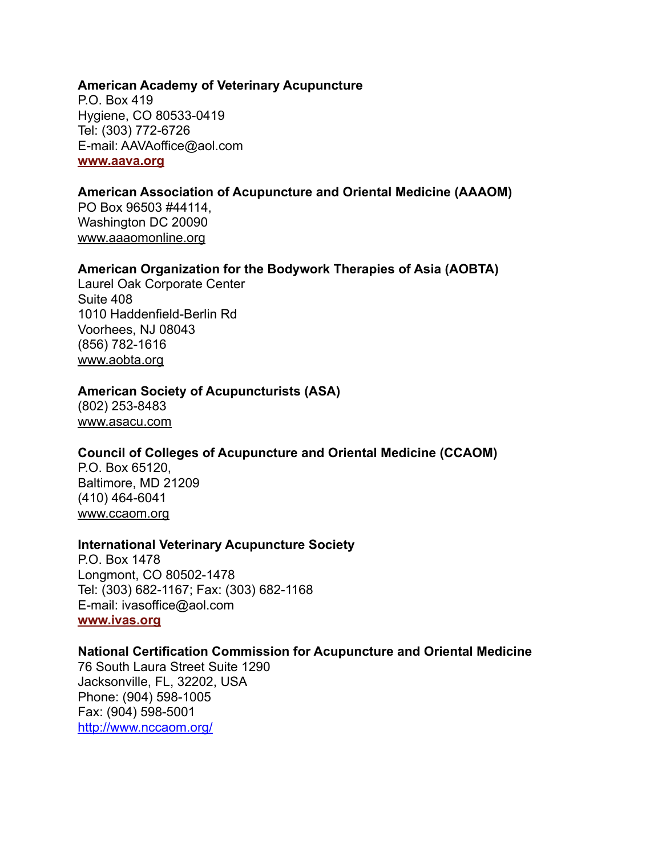#### **American Academy of Veterinary Acupuncture**

P.O. Box 419 Hygiene, CO 80533-0419 Tel: (303) 772-6726 E-mail: AAVAoffice@aol.com **[www.aava.org](http://www.aava.org/)**

#### **American Association of Acupuncture and Oriental Medicine (AAAOM)**

PO Box 96503 #44114, Washington DC 20090 [www.aaaomonline.org](http://www.aaaomonline.org/)

#### **American Organization for the Bodywork Therapies of Asia (AOBTA)**

Laurel Oak Corporate Center Suite 408 1010 Haddenfield-Berlin Rd Voorhees, NJ 08043 (856) 782-1616 [www.aobta.org](http://www.aobta.org/)

#### **American Society of Acupuncturists (ASA)**

(802) 253-8483 [www.asacu.com](http://www.asacu.com/)

#### **Council of Colleges of Acupuncture and Oriental Medicine (CCAOM)**

P.O. Box 65120, Baltimore, MD 21209 (410) 464-6041 [www.ccaom.org](http://www.ccaom.org/)

#### **International Veterinary Acupuncture Society**

P.O. Box 1478 Longmont, CO 80502-1478 Tel: (303) 682-1167; Fax: (303) 682-1168 E-mail: ivasoffice@aol.com **[www.ivas.org](http://www.ivas.org/)**

#### **National Certification Commission for Acupuncture and Oriental Medicine**

76 South Laura Street Suite 1290 Jacksonville, FL, 32202, USA Phone: (904) 598-1005 Fax: (904) 598-5001 <http://www.nccaom.org/>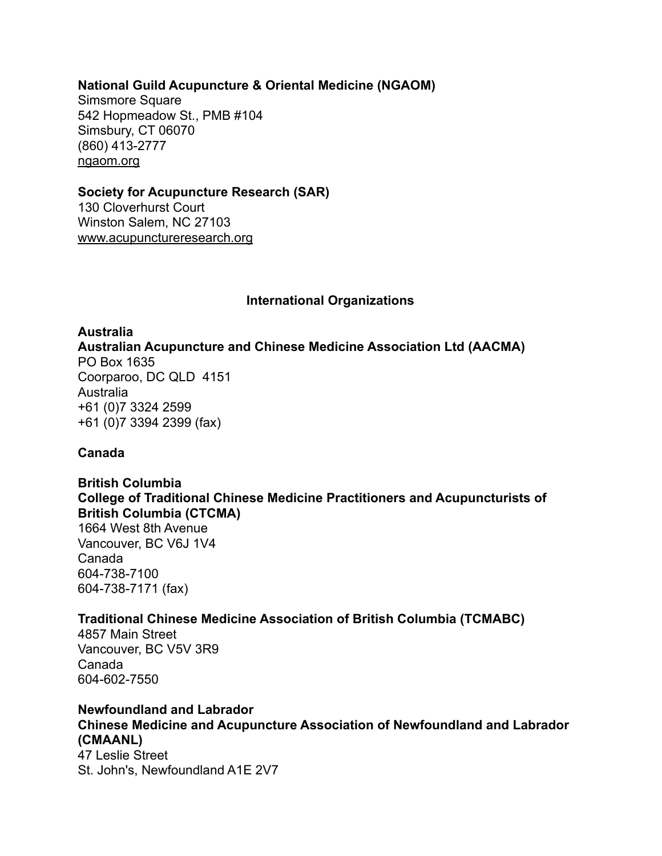#### **National Guild Acupuncture & Oriental Medicine (NGAOM)**

Simsmore Square 542 Hopmeadow St., PMB #104 Simsbury, CT 06070 (860) 413-2777 [ngaom.org](http://ngaom.org/)

#### **Society for Acupuncture Research (SAR)**

130 Cloverhurst Court Winston Salem, NC 27103 [www.acupunctureresearch.org](http://www.acupunctureresearch.org/)

#### **International Organizations**

#### **Australia**

**[Australian Acupuncture and Chinese Medicine Association Ltd \(AACMA\)](http://www.acupuncture.org.au/)** PO Box 1635 Coorparoo, DC QLD 4151 Australia +61 (0)7 3324 2599 +61 (0)7 3394 2399 (fax)

#### **Canada**

**British Columbia [College of Traditional Chinese Medicine Practitioners and Acupuncturists of](http://www.ctcma.bc.ca/)  [British Columbia \(CTCMA\)](http://www.ctcma.bc.ca/)** 1664 West 8th Avenue Vancouver, BC V6J 1V4 Canada 604-738-7100 604-738-7171 (fax)

#### **[Traditional Chinese Medicine Association of British Columbia \(TCMABC\)](http://tcmabc.org/)**

4857 Main Street Vancouver, BC V5V 3R9 Canada 604-602-7550

# **Newfoundland and Labrador [Chinese Medicine and Acupuncture Association of Newfoundland and Labrador](http://www.cmaanl.com/)  [\(CMAANL\)](http://www.cmaanl.com/)**

47 Leslie Street St. John's, Newfoundland A1E 2V7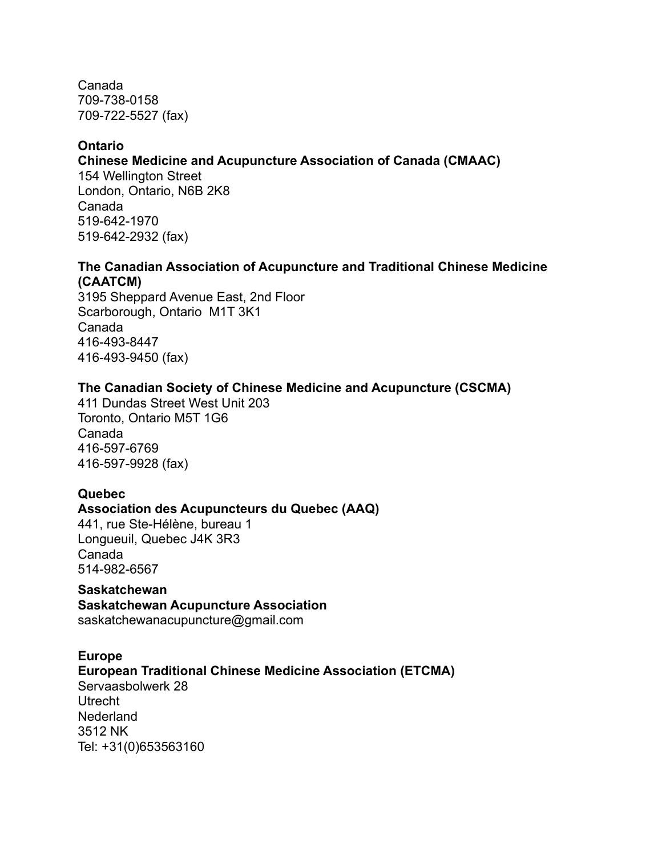Canada 709-738-0158 709-722-5527 (fax)

#### **Ontario**

**[Chinese Medicine and Acupuncture Association of Canada \(CMAAC\)](http://www.cmaac.ca/)**

154 Wellington Street London, Ontario, N6B 2K8 Canada 519-642-1970 519-642-2932 (fax)

#### **[The Canadian Association of Acupuncture and Traditional Chinese Medicine](http://www.caatcm.com/)  [\(CAATCM\)](http://www.caatcm.com/)**

3195 Sheppard Avenue East, 2nd Floor Scarborough, Ontario M1T 3K1 Canada 416-493-8447 416-493-9450 (fax)

#### **[The Canadian Society of Chinese Medicine and Acupuncture \(CSCMA\)](http://www.tcmcanada.org/)**

411 Dundas Street West Unit 203 Toronto, Ontario M5T 1G6 Canada 416-597-6769 416-597-9928 (fax)

#### **Quebec**

#### **[Association des Acupuncteurs du Quebec \(AAQ\)](http://www.acupuncture-quebec.com/)**

441, rue Ste-Hélène, bureau 1 Longueuil, Quebec J4K 3R3 Canada 514-982-6567

**Saskatchewan [Saskatchewan Acupuncture Association](http://www.saskatchewanacupuncture.com/)** saskatchewanacupuncture@gmail.com

**Europ[e](http://www.agtcm.de/) [European Traditional Chinese Medicine Association \(ETCMA\)](http://www.etcma.org/)** Servaasbolwerk 28 Utrecht Nederland 3512 NK Tel: +31(0)653563160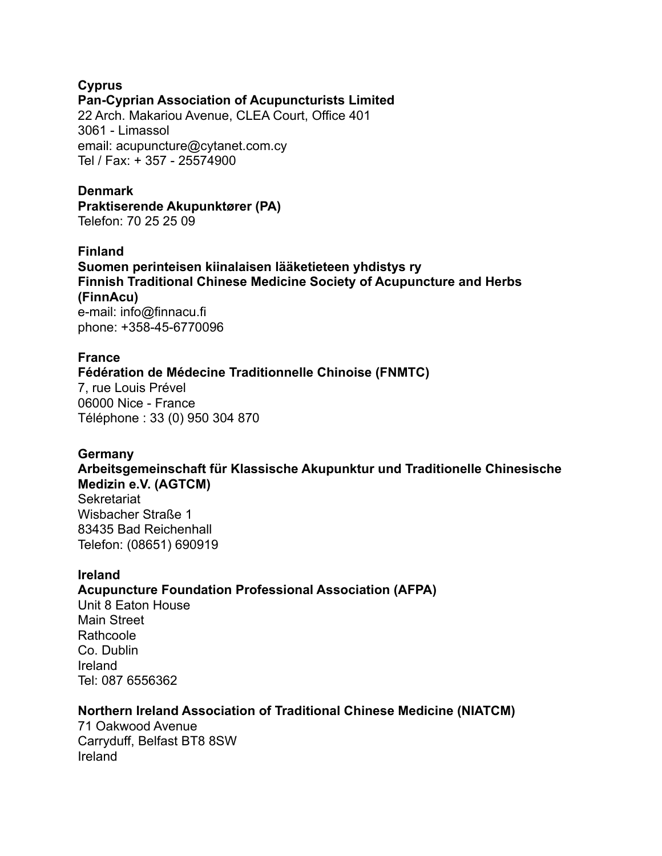# **Cypru[s](http://www.agtcm.de/) [Pan-Cyprian Association of Acupuncturists Limited](http://www.acupuncture.org.cy/)**

22 Arch. Makariou Avenue, CLEA Court, Office 401 3061 - Limassol email: acupuncture@cytanet.com.cy Tel / Fax: + 357 - 25574900

#### **Denmar[k](http://www.agtcm.de/)**

**[Praktiserende Akupunktører \(PA\)](http://www.aku-net.dk/)** Telefon: 70 25 25 09

#### **Finland**

**[Suomen perinteisen kiinalaisen lääketieteen yhdistys ry](http://www.finnacu.fi/) [Finnish Traditional Chinese Medicine Society of Acupuncture and Herbs](http://www.finnacu.fi/)  [\(FinnAcu\)](http://www.finnacu.fi/)** e-mail: info@finnacu.fi phone: +358-45-6770096

#### **France**

#### **[Fédération de Médecine Traditionnelle Chinoise \(FNMTC\)](http://www.fnmtc.fr/)**

7, rue Louis Prével 06000 Nice - France Téléphone : 33 (0) 950 304 870

#### **German[y](http://www.agtcm.de/)**

# **[Arbeitsgemeinschaft für Klassische Akupunktur und Traditionelle Chinesische](http://www.agtcm.de/)  [Medizin e.V. \(AGTCM\)](http://www.agtcm.de/)**

Sekretariat Wisbacher Straße 1 83435 Bad Reichenhall Telefon: (08651) 690919

#### **Irelan[d](http://www.acupro.ie/)**

#### **[Acupuncture Foundation Professional Association \(AFPA\)](http://www.acupro.ie/)**

Unit 8 Eaton House Main Street **Rathcoole** Co. Dublin Ireland Tel: 087 6556362

#### **[Northern Ireland Association of Traditional Chinese Medicine \(NIATCM\)](http://www.niatcm.com/)**

71 Oakwood Avenue Carryduff, Belfast BT8 8SW Ireland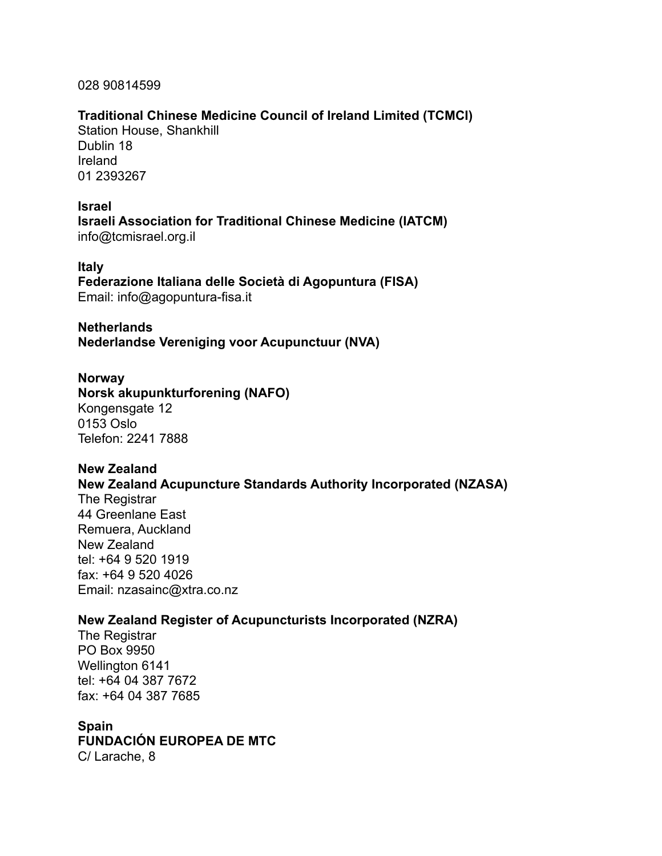028 90814599

#### **[Traditional Chinese Medicine Council of Ireland Limited \(TCMCI\)](http://www.tcmci.ie/)**

Station House, Shankhill Dublin 18 Ireland 01 2393267

#### **Israel**

**[Israeli Association for Traditional Chinese Medicine \(IATCM\)](http://www.tcmisrael.org.il/)** [info@tcmisrael.org.il](mailto:info@tcmisrael.org.il)

#### **Italy**

**[Federazione Italiana delle Società di Agopuntura \(FISA\)](http://www.agopuntura-fisa.it/)** Email: [info@agopuntura-fisa.it](mailto:info@agopuntura-fisa.it)

#### **Netherlands**

**[Nederlandse Vereniging voor Acupunctuur \(NVA\)](http://www.acupunctuur.nl/)**

#### **Norway**

**[Norsk akupunkturforening \(NAFO\)](http://www.akupunktur.no/)** Kongensgate 12 0153 Oslo Telefon: 2241 7888

#### **New Zealand**

#### **[New Zealand Acupuncture Standards Authority Incorporated \(NZASA\)](http://www.wildflower.uklinux.net/nzasa/)**

The Registrar 44 Greenlane East Remuera, Auckland New Zealand tel: +64 9 520 1919 fax: +64 9 520 4026 Email: [nzasainc@xtra.co.nz](mailto:nzasainc@xtra.co.nz)

#### **[New Zealand Register of Acupuncturists Incorporated \(NZRA\)](http://www.acupuncture.org.nz/)**

The Registrar PO Box 9950 Wellington 6141 tel: +64 04 387 7672 fax: +64 04 387 7685

#### **Spain**

**[FUNDACIÓN EUROPEA DE MTC](http://www.mtc.es/)**

C/ Larache, 8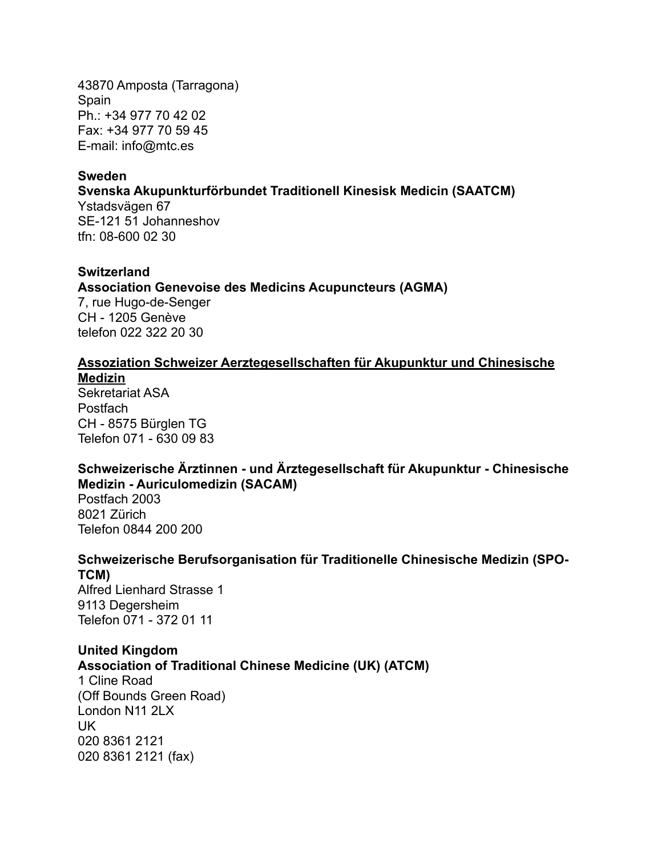43870 Amposta (Tarragona) Spain Ph.: +34 977 70 42 02 Fax: +34 977 70 59 45 E-mail: [info@mtc.es](mailto:info@mtc.es)

#### **Sweden**

#### **[Svenska Akupunkturförbundet Traditionell Kinesisk Medicin \(SAATCM\)](http://www.akupunkturforbundet.se/)**

Ystadsvägen 67 SE-121 51 Johanneshov tfn: 08-600 02 30

#### **Switzerland**

#### **[Association Genevoise des Medicins Acupuncteurs \(AGMA\)](http://www.agma.ch/)**

7, rue Hugo-de-Senger CH - 1205 Genève telefon 022 322 20 30

#### **[Assoziation Schweizer Aerztegesellschaften für Akupunktur und Chinesische](http://www.akupunktur-tcm.ch/pages/intro.php)  [Medizin](http://www.akupunktur-tcm.ch/pages/intro.php)**

Sekretariat ASA Postfach CH - 8575 Bürglen TG Telefon 071 - 630 09 83

#### **[Schweizerische Ärztinnen - und Ärztegesellschaft für Akupunktur - Chinesische](http://www.sacam.ch/)  [Medizin - Auriculomedizin \(SACAM\)](http://www.sacam.ch/)**

Postfach 2003 8021 Zürich Telefon 0844 200 200

# **[Schweizerische Berufsorganisation für Traditionelle Chinesische Medizin \(SPO-](http://www.sbo-tcm.ch/)[TCM\)](http://www.sbo-tcm.ch/)**

Alfred Lienhard Strasse 1 9113 Degersheim Telefon 071 - 372 01 11

#### **United Kingdom**

**[Association of Traditional Chinese Medicine \(UK\) \(ATCM\)](http://www.atcm.co.uk/)**

1 Cline Road (Off Bounds Green Road) London N11 2LX UK 020 8361 2121 020 8361 2121 (fax)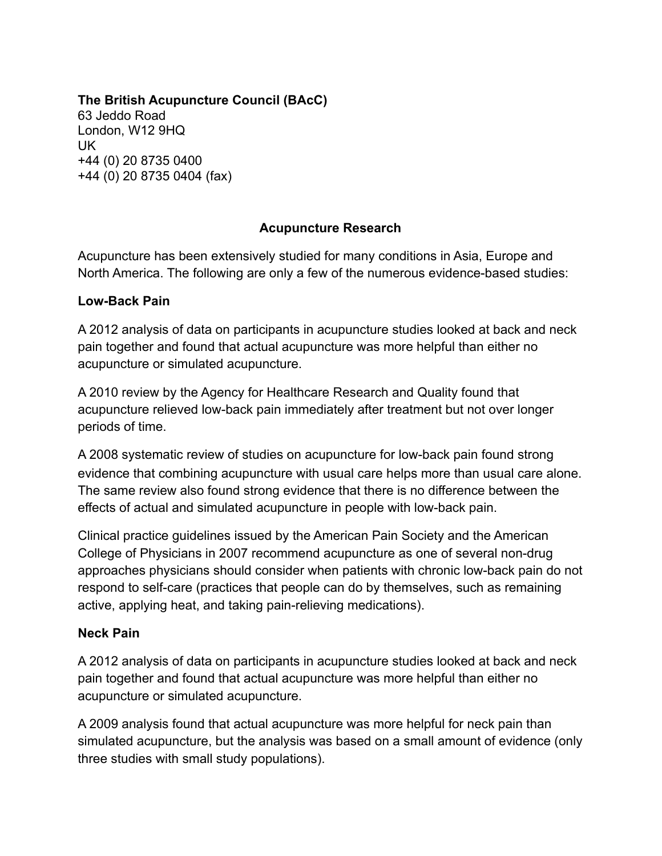# **[The British Acupuncture Council \(BAcC\)](http://www.acupuncture.org.uk/)**

63 Jeddo Road London, W12 9HQ UK +44 (0) 20 8735 0400 +44 (0) 20 8735 0404 (fax)

### **Acupuncture Research**

Acupuncture has been extensively studied for many conditions in Asia, Europe and North America. The following are only a few of the numerous evidence-based studies:

#### **Low-Back Pain**

A 2012 analysis of data on participants in acupuncture studies looked at back and neck pain together and found that actual acupuncture was more helpful than either no acupuncture or simulated acupuncture.

A 2010 review by the Agency for Healthcare Research and Quality found that acupuncture relieved low-back pain immediately after treatment but not over longer periods of time.

A 2008 systematic review of studies on acupuncture for low-back pain found strong evidence that combining acupuncture with usual care helps more than usual care alone. The same review also found strong evidence that there is no difference between the effects of actual and simulated acupuncture in people with low-back pain.

Clinical practice guidelines issued by the American Pain Society and the American College of Physicians in 2007 recommend acupuncture as one of several non-drug approaches physicians should consider when patients with chronic low-back pain do not respond to self-care (practices that people can do by themselves, such as remaining active, applying heat, and taking pain-relieving medications).

#### **Neck Pain**

A 2012 analysis of data on participants in acupuncture studies looked at back and neck pain together and found that actual acupuncture was more helpful than either no acupuncture or simulated acupuncture.

A 2009 analysis found that actual acupuncture was more helpful for neck pain than simulated acupuncture, but the analysis was based on a small amount of evidence (only three studies with small study populations).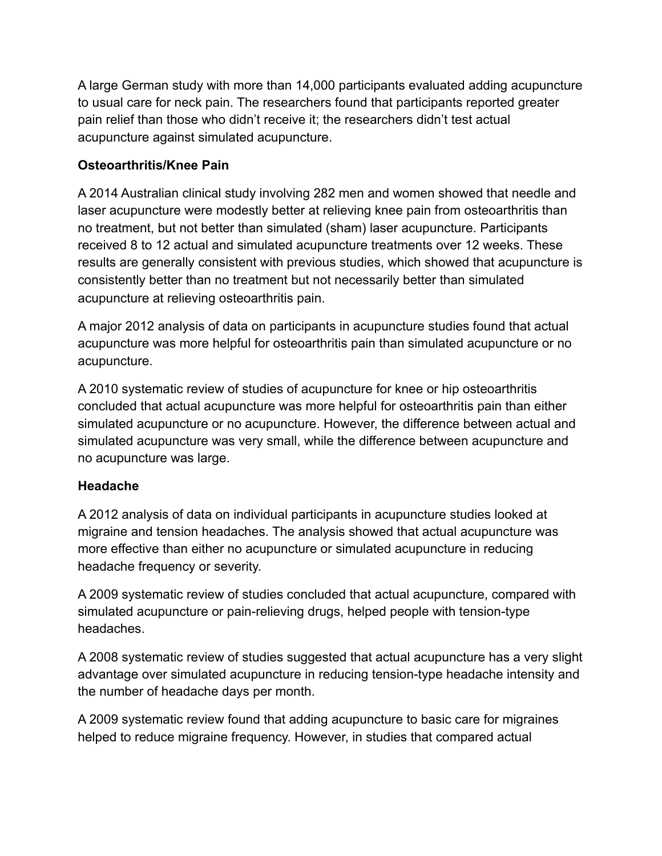A large German study with more than 14,000 participants evaluated adding acupuncture to usual care for neck pain. The researchers found that participants reported greater pain relief than those who didn't receive it; the researchers didn't test actual acupuncture against simulated acupuncture.

# **Osteoarthritis/Knee Pain**

A 2014 Australian clinical study involving 282 men and women showed that needle and laser acupuncture were modestly better at relieving knee pain from osteoarthritis than no treatment, but not better than simulated (sham) laser acupuncture. Participants received 8 to 12 actual and simulated acupuncture treatments over 12 weeks. These results are generally consistent with previous studies, which showed that acupuncture is consistently better than no treatment but not necessarily better than simulated acupuncture at relieving osteoarthritis pain.

A major 2012 analysis of data on participants in acupuncture studies found that actual acupuncture was more helpful for osteoarthritis pain than simulated acupuncture or no acupuncture.

A 2010 systematic review of studies of acupuncture for knee or hip osteoarthritis concluded that actual acupuncture was more helpful for osteoarthritis pain than either simulated acupuncture or no acupuncture. However, the difference between actual and simulated acupuncture was very small, while the difference between acupuncture and no acupuncture was large.

# **Headache**

A 2012 analysis of data on individual participants in acupuncture studies looked at migraine and tension headaches. The analysis showed that actual acupuncture was more effective than either no acupuncture or simulated acupuncture in reducing headache frequency or severity.

A 2009 systematic review of studies concluded that actual acupuncture, compared with simulated acupuncture or pain-relieving drugs, helped people with tension-type headaches.

A 2008 systematic review of studies suggested that actual acupuncture has a very slight advantage over simulated acupuncture in reducing tension-type headache intensity and the number of headache days per month.

A 2009 systematic review found that adding acupuncture to basic care for migraines helped to reduce migraine frequency. However, in studies that compared actual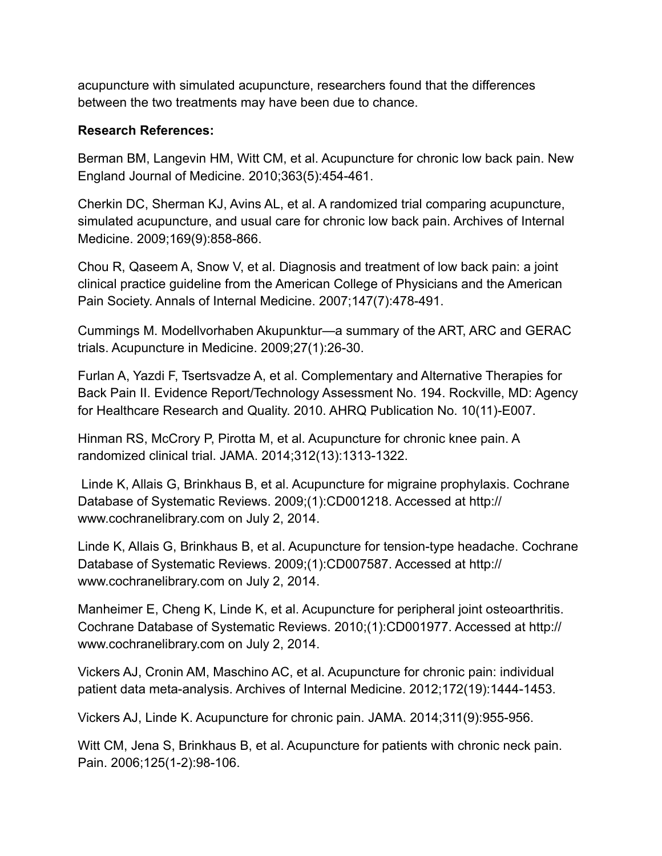acupuncture with simulated acupuncture, researchers found that the differences between the two treatments may have been due to chance.

#### **Research References:**

Berman BM, Langevin HM, Witt CM, et al. Acupuncture for chronic low back pain. New England Journal of Medicine. 2010;363(5):454-461.

Cherkin DC, Sherman KJ, Avins AL, et al. A randomized trial comparing acupuncture, simulated acupuncture, and usual care for chronic low back pain. Archives of Internal Medicine. 2009;169(9):858-866.

Chou R, Qaseem A, Snow V, et al. Diagnosis and treatment of low back pain: a joint clinical practice guideline from the American College of Physicians and the American Pain Society. Annals of Internal Medicine. 2007;147(7):478-491.

Cummings M. Modellvorhaben Akupunktur—a summary of the ART, ARC and GERAC trials. Acupuncture in Medicine. 2009;27(1):26-30.

Furlan A, Yazdi F, Tsertsvadze A, et al. Complementary and Alternative Therapies for Back Pain II. Evidence Report/Technology Assessment No. 194. Rockville, MD: Agency for Healthcare Research and Quality. 2010. AHRQ Publication No. 10(11)-E007.

Hinman RS, McCrory P, Pirotta M, et al. Acupuncture for chronic knee pain. A randomized clinical trial. JAMA. 2014;312(13):1313-1322.

 Linde K, Allais G, Brinkhaus B, et al. Acupuncture for migraine prophylaxis. Cochrane Database of Systematic Reviews. 2009;(1):CD001218. Accessed at http:// www.cochranelibrary.com on July 2, 2014.

Linde K, Allais G, Brinkhaus B, et al. Acupuncture for tension-type headache. Cochrane Database of Systematic Reviews. 2009;(1):CD007587. Accessed at http:// www.cochranelibrary.com on July 2, 2014.

Manheimer E, Cheng K, Linde K, et al. Acupuncture for peripheral joint osteoarthritis. Cochrane Database of Systematic Reviews. 2010;(1):CD001977. Accessed at http:// www.cochranelibrary.com on July 2, 2014.

Vickers AJ, Cronin AM, Maschino AC, et al. Acupuncture for chronic pain: individual patient data meta-analysis. Archives of Internal Medicine. 2012;172(19):1444-1453.

Vickers AJ, Linde K. Acupuncture for chronic pain. JAMA. 2014;311(9):955-956.

Witt CM, Jena S, Brinkhaus B, et al. Acupuncture for patients with chronic neck pain. Pain. 2006;125(1-2):98-106.